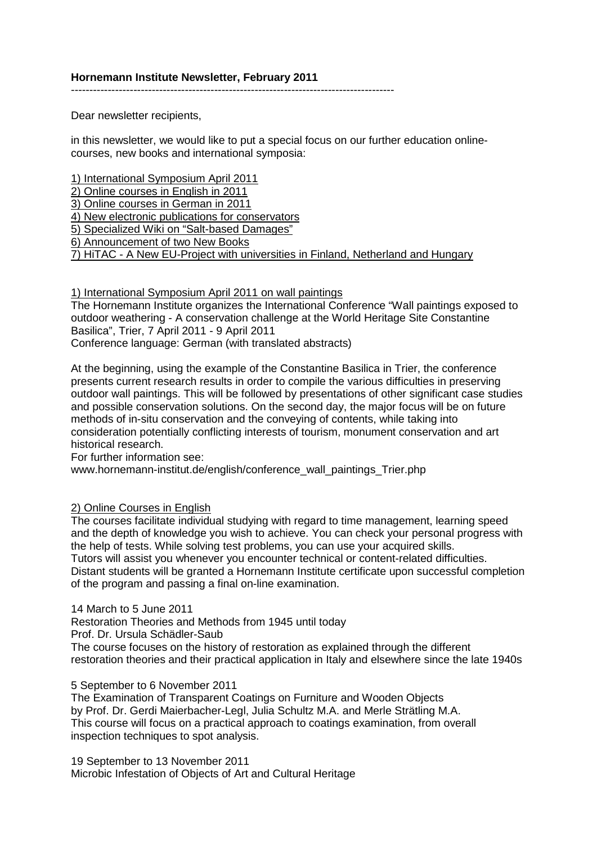----------------------------------------------------------------------------------------

Dear newsletter recipients,

in this newsletter, we would like to put a special focus on our further education onlinecourses, new books and international symposia:

1) International Symposium April 2011 2) Online courses in English in 2011 3) Online courses in German in 2011 4) New electronic publications for conservators 5) Specialized Wiki on "Salt-based Damages" 6) Announcement of two New Books 7) HiTAC - A New EU-Project with universities in Finland, Netherland and Hungary

## 1) International Symposium April 2011 on wall paintings

The Hornemann Institute organizes the International Conference "Wall paintings exposed to outdoor weathering - A conservation challenge at the World Heritage Site Constantine Basilica", Trier, 7 April 2011 - 9 April 2011 Conference language: German (with translated abstracts)

At the beginning, using the example of the Constantine Basilica in Trier, the conference presents current research results in order to compile the various difficulties in preserving outdoor wall paintings. This will be followed by presentations of other significant case studies and possible conservation solutions. On the second day, the major focus will be on future methods of in-situ conservation and the conveying of contents, while taking into consideration potentially conflicting interests of tourism, monument conservation and art historical research.

For further information see:

www.hornemann-institut.de/english/conference\_wall\_paintings\_Trier.php

# 2) Online Courses in English

The courses facilitate individual studying with regard to time management, learning speed and the depth of knowledge you wish to achieve. You can check your personal progress with the help of tests. While solving test problems, you can use your acquired skills. Tutors will assist you whenever you encounter technical or content-related difficulties. Distant students will be granted a Hornemann Institute certificate upon successful completion of the program and passing a final on-line examination.

#### 14 March to 5 June 2011

Restoration Theories and Methods from 1945 until today Prof. Dr. Ursula Schädler-Saub

The course focuses on the history of restoration as explained through the different restoration theories and their practical application in Italy and elsewhere since the late 1940s

# 5 September to 6 November 2011

The Examination of Transparent Coatings on Furniture and Wooden Objects by Prof. Dr. Gerdi Maierbacher-Legl, Julia Schultz M.A. and Merle Strätling M.A. This course will focus on a practical approach to coatings examination, from overall inspection techniques to spot analysis.

19 September to 13 November 2011 Microbic Infestation of Objects of Art and Cultural Heritage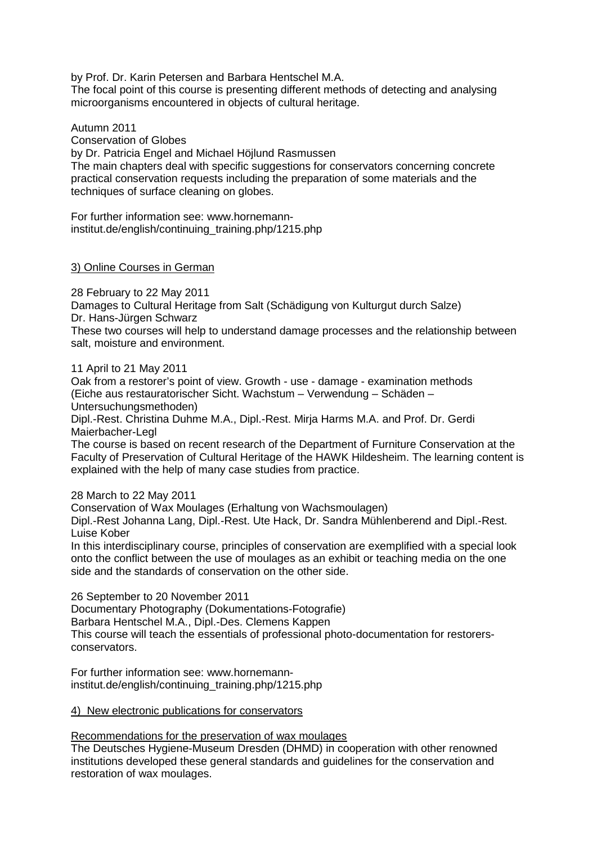by Prof. Dr. Karin Petersen and Barbara Hentschel M.A. The focal point of this course is presenting different methods of detecting and analysing microorganisms encountered in objects of cultural heritage.

Autumn 2011 Conservation of Globes

by Dr. Patricia Engel and Michael Höjlund Rasmussen The main chapters deal with specific suggestions for conservators concerning concrete practical conservation requests including the preparation of some materials and the techniques of surface cleaning on globes.

For further information see: www.hornemanninstitut.de/english/continuing\_training.php/1215.php

# 3) Online Courses in German

28 February to 22 May 2011 Damages to Cultural Heritage from Salt (Schädigung von Kulturgut durch Salze) Dr. Hans-Jürgen Schwarz These two courses will help to understand damage processes and the relationship between

salt, moisture and environment.

11 April to 21 May 2011

Oak from a restorer's point of view. Growth - use - damage - examination methods (Eiche aus restauratorischer Sicht. Wachstum – Verwendung – Schäden – Untersuchungsmethoden)

Dipl.-Rest. Christina Duhme M.A., Dipl.-Rest. Mirja Harms M.A. and Prof. Dr. Gerdi Maierbacher-Legl

The course is based on recent research of the Department of Furniture Conservation at the Faculty of Preservation of Cultural Heritage of the HAWK Hildesheim. The learning content is explained with the help of many case studies from practice.

# 28 March to 22 May 2011

Conservation of Wax Moulages (Erhaltung von Wachsmoulagen)

Dipl.-Rest Johanna Lang, Dipl.-Rest. Ute Hack, Dr. Sandra Mühlenberend and Dipl.-Rest. Luise Kober

In this interdisciplinary course, principles of conservation are exemplified with a special look onto the conflict between the use of moulages as an exhibit or teaching media on the one side and the standards of conservation on the other side.

26 September to 20 November 2011

Documentary Photography (Dokumentations-Fotografie) Barbara Hentschel M.A., Dipl.-Des. Clemens Kappen This course will teach the essentials of professional photo-documentation for restorersconservators.

For further information see: www.hornemanninstitut.de/english/continuing\_training.php/1215.php

# 4) New electronic publications for conservators

Recommendations for the preservation of wax moulages

The Deutsches Hygiene-Museum Dresden (DHMD) in cooperation with other renowned institutions developed these general standards and guidelines for the conservation and restoration of wax moulages.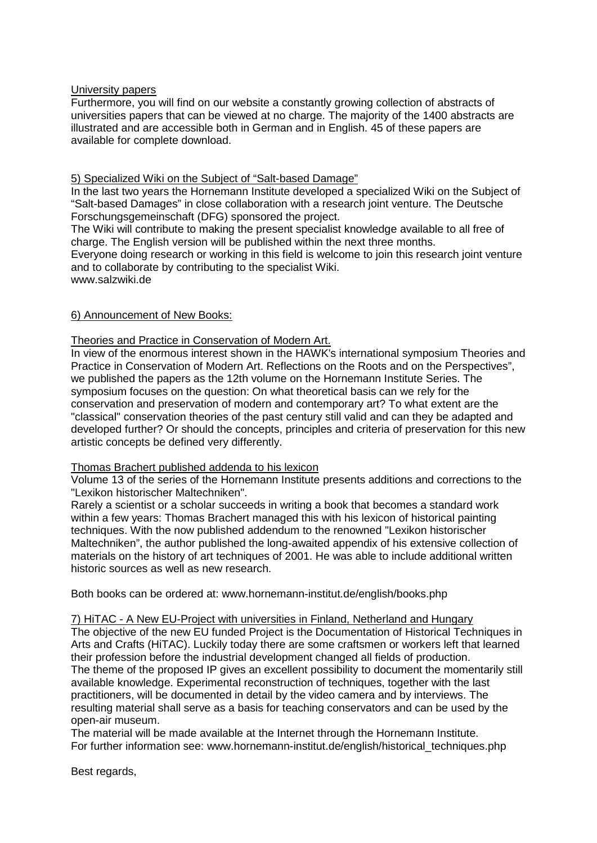## University papers

Furthermore, you will find on our website a constantly growing collection of abstracts of universities papers that can be viewed at no charge. The majority of the 1400 abstracts are illustrated and are accessible both in German and in English. 45 of these papers are available for complete download.

## 5) Specialized Wiki on the Subject of "Salt-based Damage"

In the last two years the Hornemann Institute developed a specialized Wiki on the Subject of "Salt-based Damages" in close collaboration with a research joint venture. The Deutsche Forschungsgemeinschaft (DFG) sponsored the project.

The Wiki will contribute to making the present specialist knowledge available to all free of charge. The English version will be published within the next three months.

Everyone doing research or working in this field is welcome to join this research joint venture and to collaborate by contributing to the specialist Wiki.

www.salzwiki.de

#### 6) Announcement of New Books:

#### Theories and Practice in Conservation of Modern Art.

In view of the enormous interest shown in the HAWK's international symposium Theories and Practice in Conservation of Modern Art. Reflections on the Roots and on the Perspectives", we published the papers as the 12th volume on the Hornemann Institute Series. The symposium focuses on the question: On what theoretical basis can we rely for the conservation and preservation of modern and contemporary art? To what extent are the "classical" conservation theories of the past century still valid and can they be adapted and developed further? Or should the concepts, principles and criteria of preservation for this new artistic concepts be defined very differently.

## Thomas Brachert published addenda to his lexicon

Volume 13 of the series of the Hornemann Institute presents additions and corrections to the "Lexikon historischer Maltechniken".

Rarely a scientist or a scholar succeeds in writing a book that becomes a standard work within a few years: Thomas Brachert managed this with his lexicon of historical painting techniques. With the now published addendum to the renowned "Lexikon historischer Maltechniken", the author published the long-awaited appendix of his extensive collection of materials on the history of art techniques of 2001. He was able to include additional written historic sources as well as new research.

Both books can be ordered at: www.hornemann-institut.de/english/books.php

#### 7) HiTAC - A New EU-Project with universities in Finland, Netherland and Hungary

The objective of the new EU funded Project is the Documentation of Historical Techniques in Arts and Crafts (HiTAC). Luckily today there are some craftsmen or workers left that learned their profession before the industrial development changed all fields of production. The theme of the proposed IP gives an excellent possibility to document the momentarily still available knowledge. Experimental reconstruction of techniques, together with the last practitioners, will be documented in detail by the video camera and by interviews. The resulting material shall serve as a basis for teaching conservators and can be used by the open-air museum.

The material will be made available at the Internet through the Hornemann Institute. For further information see: www.hornemann-institut.de/english/historical\_techniques.php

Best regards,